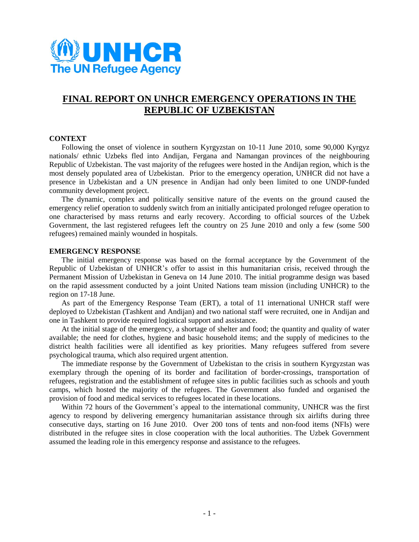

# **FINAL REPORT ON UNHCR EMERGENCY OPERATIONS IN THE REPUBLIC OF UZBEKISTAN**

#### **CONTEXT**

Following the onset of violence in southern Kyrgyzstan on 10-11 June 2010, some 90,000 Kyrgyz nationals/ ethnic Uzbeks fled into Andijan, Fergana and Namangan provinces of the neighbouring Republic of Uzbekistan. The vast majority of the refugees were hosted in the Andijan region, which is the most densely populated area of Uzbekistan. Prior to the emergency operation, UNHCR did not have a presence in Uzbekistan and a UN presence in Andijan had only been limited to one UNDP-funded community development project.

The dynamic, complex and politically sensitive nature of the events on the ground caused the emergency relief operation to suddenly switch from an initially anticipated prolonged refugee operation to one characterised by mass returns and early recovery. According to official sources of the Uzbek Government, the last registered refugees left the country on 25 June 2010 and only a few (some 500 refugees) remained mainly wounded in hospitals.

#### **EMERGENCY RESPONSE**

The initial emergency response was based on the formal acceptance by the Government of the Republic of Uzbekistan of UNHCR's offer to assist in this humanitarian crisis, received through the Permanent Mission of Uzbekistan in Geneva on 14 June 2010. The initial programme design was based on the rapid assessment conducted by a joint United Nations team mission (including UNHCR) to the region on 17-18 June.

As part of the Emergency Response Team (ERT), a total of 11 international UNHCR staff were deployed to Uzbekistan (Tashkent and Andijan) and two national staff were recruited, one in Andijan and one in Tashkent to provide required logistical support and assistance.

At the initial stage of the emergency, a shortage of shelter and food; the quantity and quality of water available; the need for clothes, hygiene and basic household items; and the supply of medicines to the district health facilities were all identified as key priorities. Many refugees suffered from severe psychological trauma, which also required urgent attention.

The immediate response by the Government of Uzbekistan to the crisis in southern Kyrgyzstan was exemplary through the opening of its border and facilitation of border-crossings, transportation of refugees, registration and the establishment of refugee sites in public facilities such as schools and youth camps, which hosted the majority of the refugees. The Government also funded and organised the provision of food and medical services to refugees located in these locations.

Within 72 hours of the Government's appeal to the international community, UNHCR was the first agency to respond by delivering emergency humanitarian assistance through six airlifts during three consecutive days, starting on 16 June 2010. Over 200 tons of tents and non-food items (NFIs) were distributed in the refugee sites in close cooperation with the local authorities. The Uzbek Government assumed the leading role in this emergency response and assistance to the refugees.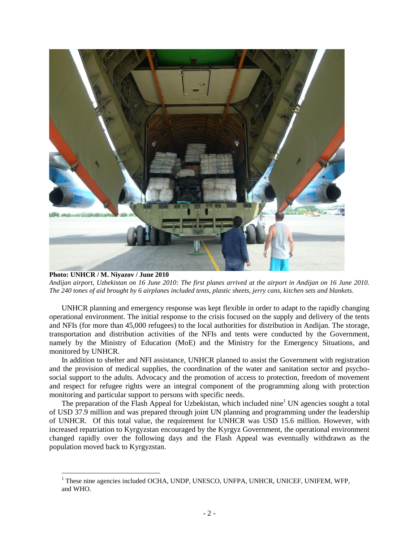

*Andijan airport, Uzbekistan on 16 June 2010: The first planes arrived at the airport in Andijan on 16 June 2010. The 240 tones of aid brought by 6 airplanes included tents, plastic sheets, jerry cans, kitchen sets and blankets.* 

UNHCR planning and emergency response was kept flexible in order to adapt to the rapidly changing operational environment. The initial response to the crisis focused on the supply and delivery of the tents and NFIs (for more than 45,000 refugees) to the local authorities for distribution in Andijan. The storage, transportation and distribution activities of the NFIs and tents were conducted by the Government, namely by the Ministry of Education (MoE) and the Ministry for the Emergency Situations, and monitored by UNHCR.

In addition to shelter and NFI assistance, UNHCR planned to assist the Government with registration and the provision of medical supplies, the coordination of the water and sanitation sector and psychosocial support to the adults. Advocacy and the promotion of access to protection, freedom of movement and respect for refugee rights were an integral component of the programming along with protection monitoring and particular support to persons with specific needs.

The preparation of the Flash Appeal for Uzbekistan, which included nine<sup>1</sup> UN agencies sought a total of USD 37.9 million and was prepared through joint UN planning and programming under the leadership of UNHCR. Of this total value, the requirement for UNHCR was USD 15.6 million. However, with increased repatriation to Kyrgyzstan encouraged by the Kyrgyz Government, the operational environment changed rapidly over the following days and the Flash Appeal was eventually withdrawn as the population moved back to Kyrgyzstan.

 $\overline{a}$ 

<sup>&</sup>lt;sup>1</sup> These nine agencies included OCHA, UNDP, UNESCO, UNFPA, UNHCR, UNICEF, UNIFEM, WFP, and WHO.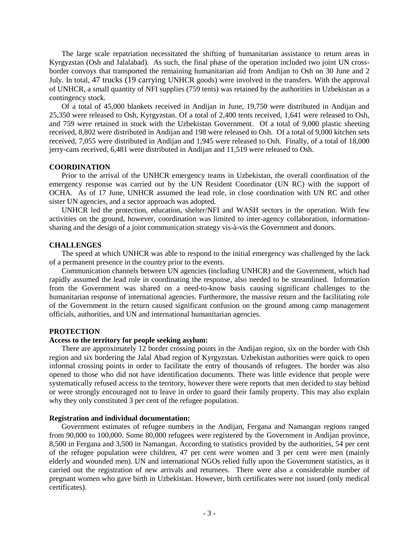The large scale repatriation necessitated the shifting of humanitarian assistance to return areas in Kyrgyzstan (Osh and Jalalabad). As such, the final phase of the operation included two joint UN crossborder convoys that transported the remaining humanitarian aid from Andijan to Osh on 30 June and 2 July. In total, 47 trucks (19 carrying UNHCR goods) were involved in the transfers. With the approval of UNHCR, a small quantity of NFI supplies (759 tents) was retained by the authorities in Uzbekistan as a contingency stock.

Of a total of 45,000 blankets received in Andijan in June, 19,750 were distributed in Andijan and 25,350 were released to Osh, Kyrgyzstan. Of a total of 2,400 tents received, 1,641 were released to Osh, and 759 were retained in stock with the Uzbekistan Government. Of a total of 9,000 plastic sheeting received, 8,802 were distributed in Andijan and 198 were released to Osh. Of a total of 9,000 kitchen sets received, 7,055 were distributed in Andijan and 1,945 were released to Osh. Finally, of a total of 18,000 jerry-cans received, 6,481 were distributed in Andijan and 11,519 were released to Osh.

## **COORDINATION**

Prior to the arrival of the UNHCR emergency teams in Uzbekistan, the overall coordination of the emergency response was carried out by the UN Resident Coordinator (UN RC) with the support of OCHA. As of 17 June, UNHCR assumed the lead role, in close coordination with UN RC and other sister UN agencies, and a sector approach was adopted.

UNHCR led the protection, education, shelter/NFI and WASH sectors in the operation. With few activities on the ground, however, coordination was limited to inter-agency collaboration, informationsharing and the design of a joint communication strategy vis-à-vis the Government and donors.

## **CHALLENGES**

The speed at which UNHCR was able to respond to the initial emergency was challenged by the lack of a permanent presence in the country prior to the events.

Communication channels between UN agencies (including UNHCR) and the Government, which had rapidly assumed the lead role in coordinating the response, also needed to be streamlined. Information from the Government was shared on a need-to-know basis causing significant challenges to the humanitarian response of international agencies. Furthermore, the massive return and the facilitating role of the Government in the return caused significant confusion on the ground among camp management officials, authorities, and UN and international humanitarian agencies.

#### **PROTECTION**

## **Access to the territory for people seeking asylum:**

There are approximately 12 border crossing points in the Andijan region, six on the border with Osh region and six bordering the Jalal Abad region of Kyrgyzstan. Uzbekistan authorities were quick to open informal crossing points in order to facilitate the entry of thousands of refugees. The border was also opened to those who did not have identification documents. There was little evidence that people were systematically refused access to the territory, however there were reports that men decided to stay behind or were strongly encouraged not to leave in order to guard their family property. This may also explain why they only constituted 3 per cent of the refugee population.

## **Registration and individual documentation:**

Government estimates of refugee numbers in the Andijan, Fergana and Namangan regions ranged from 90,000 to 100,000. Some 80,000 refugees were registered by the Government in Andijan province, 8,500 in Fergana and 3,500 in Namangan. According to statistics provided by the authorities, 54 per cent of the refugee population were children, 47 per cent were women and 3 per cent were men (mainly elderly and wounded men). UN and international NGOs relied fully upon the Government statistics, as it carried out the registration of new arrivals and returnees. There were also a considerable number of pregnant women who gave birth in Uzbekistan. However, birth certificates were not issued (only medical certificates).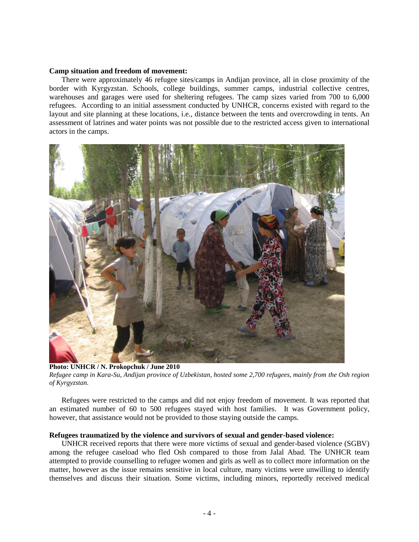#### **Camp situation and freedom of movement:**

There were approximately 46 refugee sites/camps in Andijan province, all in close proximity of the border with Kyrgyzstan. Schools, college buildings, summer camps, industrial collective centres, warehouses and garages were used for sheltering refugees. The camp sizes varied from 700 to 6,000 refugees. According to an initial assessment conducted by UNHCR, concerns existed with regard to the layout and site planning at these locations, i.e., distance between the tents and overcrowding in tents. An assessment of latrines and water points was not possible due to the restricted access given to international actors in the camps.



**Photo: UNHCR / N. Prokopchuk / June 2010**  *Refugee camp in Kara-Su, Andijan province of Uzbekistan, hosted some 2,700 refugees, mainly from the Osh region of Kyrgyzstan.* 

Refugees were restricted to the camps and did not enjoy freedom of movement. It was reported that an estimated number of 60 to 500 refugees stayed with host families. It was Government policy, however, that assistance would not be provided to those staying outside the camps.

#### **Refugees traumatized by the violence and survivors of sexual and gender-based violence:**

UNHCR received reports that there were more victims of sexual and gender-based violence (SGBV) among the refugee caseload who fled Osh compared to those from Jalal Abad. The UNHCR team attempted to provide counselling to refugee women and girls as well as to collect more information on the matter, however as the issue remains sensitive in local culture, many victims were unwilling to identify themselves and discuss their situation. Some victims, including minors, reportedly received medical